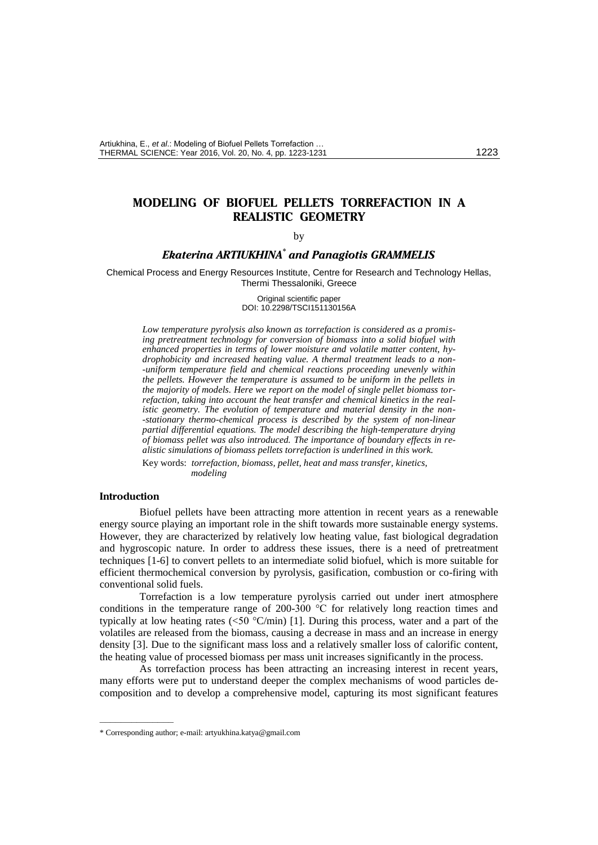# **MODELING OF BIOFUEL PELLETS TORREFACTION IN A REALISTIC GEOMETRY**

#### by

## *Ekaterina ARTIUKHINA\* and Panagiotis GRAMMELIS*

Chemical Process and Energy Resources Institute, Centre for Research and Technology Hellas, Thermi Thessaloniki, Greece

> Original scientific paper DOI: 10.2298/TSCI151130156A

*Low temperature pyrolysis also known as torrefaction is considered as a promising pretreatment technology for conversion of biomass into a solid biofuel with enhanced properties in terms of lower moisture and volatile matter content, hydrophobicity and increased heating value. A thermal treatment leads to a non- -uniform temperature field and chemical reactions proceeding unevenly within the pellets. However the temperature is assumed to be uniform in the pellets in the majority of models. Here we report on the model of single pellet biomass torrefaction, taking into account the heat transfer and chemical kinetics in the realistic geometry. The evolution of temperature and material density in the non- -stationary thermo-chemical process is described by the system of non-linear partial differential equations. The model describing the high-temperature drying of biomass pellet was also introduced. The importance of boundary effects in realistic simulations of biomass pellets torrefaction is underlined in this work.*

Key words: *torrefaction, biomass, pellet, heat and mass transfer, kinetics, modeling*

## **Introduction**

––––––––––––––

Biofuel pellets have been attracting more attention in recent years as a renewable energy source playing an important role in the shift towards more sustainable energy systems. However, they are characterized by relatively low heating value, fast biological degradation and hygroscopic nature. In order to address these issues, there is a need of pretreatment techniques [1-6] to convert pellets to an intermediate solid biofuel, which is more suitable for efficient thermochemical conversion by pyrolysis, gasification, combustion or co-firing with conventional solid fuels.

Torrefaction is a low temperature pyrolysis carried out under inert atmosphere conditions in the temperature range of 200-300 °C for relatively long reaction times and typically at low heating rates ( $\leq 50$  °C/min) [1]. During this process, water and a part of the volatiles are released from the biomass, causing a decrease in mass and an increase in energy density [3]. Due to the significant mass loss and a relatively smaller loss of calorific content, the heating value of processed biomass per mass unit increases significantly in the process.

As torrefaction process has been attracting an increasing interest in recent years, many efforts were put to understand deeper the complex mechanisms of wood particles decomposition and to develop a comprehensive model, capturing its most significant features

<sup>\*</sup> Corresponding author; e-mail: artyukhina.katya@gmail.com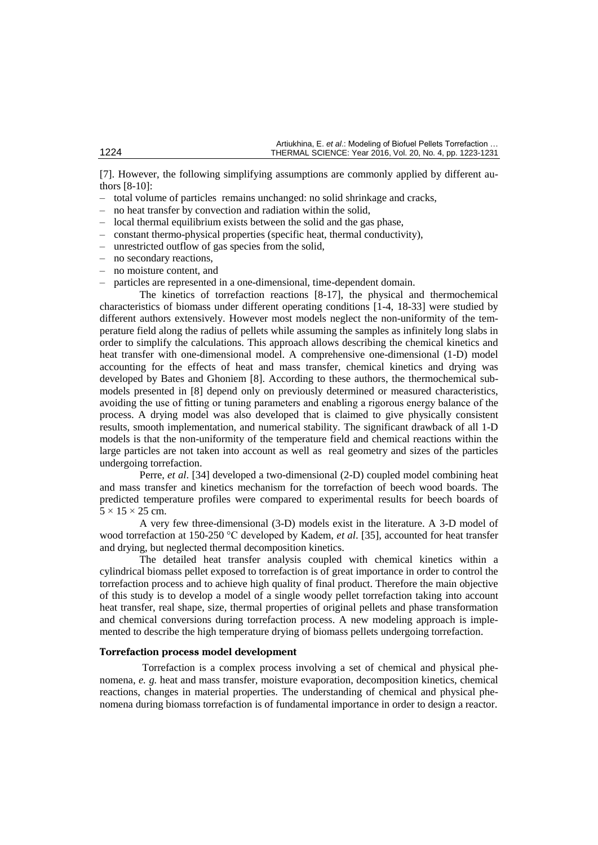[7]. However, the following simplifying assumptions are commonly applied by different authors [8-10]:

- total volume of particles remains unchanged: no solid shrinkage and cracks,
- no heat transfer by convection and radiation within the solid,
- local thermal equilibrium exists between the solid and the gas phase,
- constant thermo-physical properties (specific heat, thermal conductivity),
- unrestricted outflow of gas species from the solid,
- no secondary reactions,
- no moisture content, and
- particles are represented in a one-dimensional, time-dependent domain.

The kinetics of torrefaction reactions [8-17], the physical and thermochemical characteristics of biomass under different operating conditions [1-4, 18-33] were studied by different authors extensively. However most models neglect the non-uniformity of the temperature field along the radius of pellets while assuming the samples as infinitely long slabs in order to simplify the calculations. This approach allows describing the chemical kinetics and heat transfer with one-dimensional model. A comprehensive one-dimensional (1-D) model accounting for the effects of heat and mass transfer, chemical kinetics and drying was developed by Bates and Ghoniem [8]. According to these authors, the thermochemical submodels presented in [8] depend only on previously determined or measured characteristics, avoiding the use of fitting or tuning parameters and enabling a rigorous energy balance of the process. A drying model was also developed that is claimed to give physically consistent results, smooth implementation, and numerical stability. The significant drawback of all 1-D models is that the non-uniformity of the temperature field and chemical reactions within the large particles are not taken into account as well as real geometry and sizes of the particles undergoing torrefaction.

Perre, *et al*. [34] developed a two-dimensional (2-D) coupled model combining heat and mass transfer and kinetics mechanism for the torrefaction of beech wood boards. The predicted temperature profiles were compared to experimental results for beech boards of  $5 \times 15 \times 25$  cm.

A very few three-dimensional (3-D) models exist in the literature. A 3-D model of wood torrefaction at 150-250 °C developed by Kadem, *et al*. [35], accounted for heat transfer and drying, but neglected thermal decomposition kinetics.

The detailed heat transfer analysis coupled with chemical kinetics within a cylindrical biomass pellet exposed to torrefaction is of great importance in order to control the torrefaction process and to achieve high quality of final product. Therefore the main objective of this study is to develop a model of a single woody pellet torrefaction taking into account heat transfer, real shape, size, thermal properties of original pellets and phase transformation and chemical conversions during torrefaction process. A new modeling approach is implemented to describe the high temperature drying of biomass pellets undergoing torrefaction.

## **Torrefaction process model development**

Torrefaction is a complex process involving a set of chemical and physical phenomena, *e. g.* heat and mass transfer, moisture evaporation, decomposition kinetics, chemical reactions, changes in material properties. The understanding of chemical and physical phenomena during biomass torrefaction is of fundamental importance in order to design a reactor.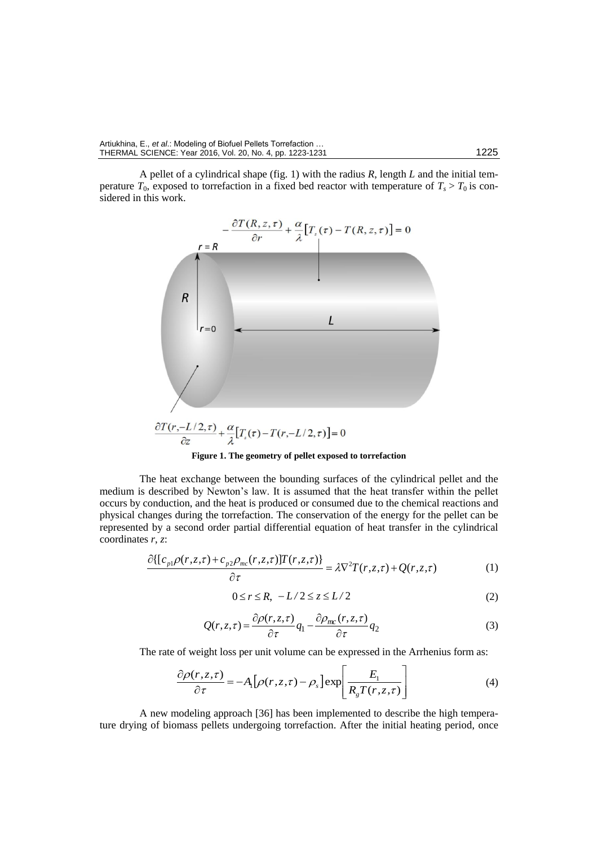A pellet of a cylindrical shape (fig. 1) with the radius *R*, length *L* and the initial temperature  $T_0$ , exposed to torrefaction in a fixed bed reactor with temperature of  $T_s > T_0$  is considered in this work.



**Figure 1. The geometry of pellet exposed to torrefaction**

The heat exchange between the bounding surfaces of the cylindrical pellet and the medium is described by Newton's law. It is assumed that the heat transfer within the pellet occurs by conduction, and the heat is produced or consumed due to the chemical reactions and physical changes during the torrefaction. The conservation of the energy for the pellet can be represented by a second order partial differential equation of heat transfer in the cylindrical coordinates *r*, *z*:

$$
\frac{\partial \{ [c_{p1}\rho(r,z,\tau) + c_{p2}\rho_{mc}(r,z,\tau)]T(r,z,\tau) \}}{\partial \tau} = \lambda \nabla^2 T(r,z,\tau) + Q(r,z,\tau) \tag{1}
$$

$$
0 \le r \le R, \ -L/2 \le z \le L/2 \tag{2}
$$

$$
Q(r,z,\tau) = \frac{\partial \rho(r,z,\tau)}{\partial \tau} q_1 - \frac{\partial \rho_{mc}(r,z,\tau)}{\partial \tau} q_2
$$
 (3)

The rate of weight loss per unit volume can be expressed in the Arrhenius form as:

$$
\frac{\partial \rho(r, z, \tau)}{\partial \tau} = -A_{I} \left[ \rho(r, z, \tau) - \rho_{s} \right] \exp \left[ \frac{E_{I}}{R_{g} T(r, z, \tau)} \right]
$$
(4)

A new modeling approach [36] has been implemented to describe the high temperature drying of biomass pellets undergoing torrefaction. After the initial heating period, once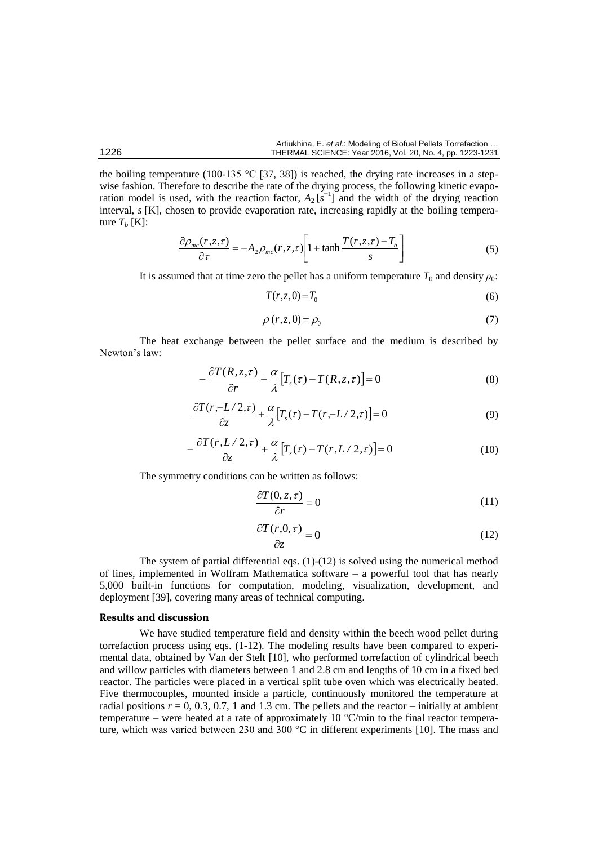the boiling temperature (100-135 °C [37, 38]) is reached, the drying rate increases in a stepwise fashion. Therefore to describe the rate of the drying process, the following kinetic evaporation model is used, with the reaction factor,  $A_2$  [ $s^{-1}$ ] and the width of the drying reaction interval, *s* [K], chosen to provide evaporation rate, increasing rapidly at the boiling temperature  $T_b$  [K]:

$$
\frac{\partial \rho_{mc}(r,z,\tau)}{\partial \tau} = -A_2 \rho_{mc}(r,z,\tau) \left[ 1 + \tanh \frac{T(r,z,\tau) - T_b}{s} \right]
$$
(5)

It is assumed that at time zero the pellet has a uniform temperature  $T_0$  and density  $\rho_0$ :

$$
T(r, z, 0) = T_0 \tag{6}
$$

$$
\rho(r, z, 0) = \rho_0 \tag{7}
$$

The heat exchange between the pellet surface and the medium is described by Newton's law:

$$
-\frac{\partial T(R,z,\tau)}{\partial r} + \frac{\alpha}{\lambda} \Big[ T_s(\tau) - T(R,z,\tau) \Big] = 0 \tag{8}
$$

$$
\frac{\partial T(r,-L/2,\tau)}{\partial z} + \frac{\alpha}{\lambda} \left[ T_s(\tau) - T(r,-L/2,\tau) \right] = 0 \tag{9}
$$

$$
-\frac{\partial T(r, L/2, \tau)}{\partial z} + \frac{\alpha}{\lambda} \left[ T_s(\tau) - T(r, L/2, \tau) \right] = 0 \tag{10}
$$

The symmetry conditions can be written as follows:

$$
\frac{\partial T(0, z, \tau)}{\partial r} = 0\tag{11}
$$

$$
\frac{\partial T(r,0,\tau)}{\partial z} = 0\tag{12}
$$

The system of partial differential eqs.  $(1)-(12)$  is solved using the numerical method of lines, implemented in Wolfram Mathematica software - a powerful tool that has nearly 5,000 built-in functions for computation, modeling, visualization, development, and deployment [39], covering many areas of technical computing.

## **Results and discussion**

We have studied temperature field and density within the beech wood pellet during torrefaction process using eqs. (1-12). The modeling results have been compared to experimental data, obtained by Van der Stelt [10], who performed torrefaction of cylindrical beech and willow particles with diameters between 1 and 2.8 cm and lengths of 10 cm in a fixed bed reactor. The particles were placed in a vertical split tube oven which was electrically heated. Five thermocouples, mounted inside a particle, continuously monitored the temperature at radial positions  $r = 0, 0.3, 0.7, 1$  and 1.3 cm. The pellets and the reactor – initially at ambient temperature – were heated at a rate of approximately 10 °C/min to the final reactor temperature, which was varied between 230 and 300 °C in different experiments [10]. The mass and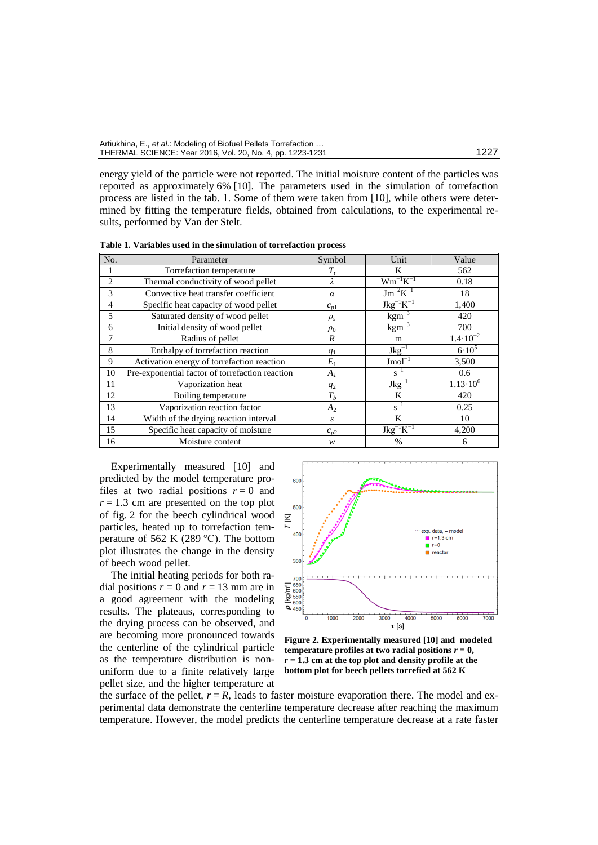| Artiukhina, E., et al.: Modeling of Biofuel Pellets Torrefaction |      |
|------------------------------------------------------------------|------|
| THERMAL SCIENCE: Year 2016, Vol. 20, No. 4, pp. 1223-1231        | 1227 |

energy yield of the particle were not reported. The initial moisture content of the particles was reported as approximately 6% [10]. The parameters used in the simulation of torrefaction process are listed in the tab. 1. Some of them were taken from [10], while others were determined by fitting the temperature fields, obtained from calculations, to the experimental results, performed by Van der Stelt.

**Table 1. Variables used in the simulation of torrefaction process**

| No. | Parameter                                       | Symbol           | Unit                                         | Value               |
|-----|-------------------------------------------------|------------------|----------------------------------------------|---------------------|
|     | Torrefaction temperature                        | T,               | Κ                                            | 562                 |
| 2   | Thermal conductivity of wood pellet             |                  | $Wm^{-1}K^{-1}$                              | 0.18                |
| 3   | Convective heat transfer coefficient            | $\alpha$         | $\overline{\mathrm{Jm}}^{-2}\mathrm{K}^{-1}$ | 18                  |
| 4   | Specific heat capacity of wood pellet           | $c_{p1}$         | $Jkg^{-1}K^{-1}$                             | 1,400               |
| 5   | Saturated density of wood pellet                | $\rho_s$         | $\text{kgm}^{-3}$                            | 420                 |
| 6   | Initial density of wood pellet                  | $\rho_0$         | $\text{kgm}^{-3}$                            | 700                 |
| 7   | Radius of pellet                                | $\boldsymbol{R}$ | m                                            | $1.4 \cdot 10^{-2}$ |
| 8   | Enthalpy of torrefaction reaction               | $q_1$            | $Jkg^{-1}$                                   | $-6.10^{5}$         |
| 9   | Activation energy of torrefaction reaction      | $E_1$            | $Jmol^{-1}$                                  | 3,500               |
| 10  | Pre-exponential factor of torrefaction reaction | $A_I$            | $s^{-1}$                                     | 0.6                 |
| 11  | Vaporization heat                               | $q_2$            | $Jkg^{-1}$                                   | $1.13 \cdot 10^{6}$ |
| 12  | Boiling temperature                             | $T_b$            | K                                            | 420                 |
| 13  | Vaporization reaction factor                    | A <sub>2</sub>   | $s^{-1}$                                     | 0.25                |
| 14  | Width of the drying reaction interval           | $\mathcal{S}$    | K                                            | 10                  |
| 15  | Specific heat capacity of moisture              | $c_{p2}$         | $Jkg^{-1}K^{-1}$                             | 4,200               |
| 16  | Moisture content                                | w                | $\frac{0}{0}$                                | O                   |

Experimentally measured [10] and predicted by the model temperature profiles at two radial positions  $r = 0$  and  $r = 1.3$  cm are presented on the top plot of fig. 2 for the beech cylindrical wood particles, heated up to torrefaction temperature of 562 K (289  $^{\circ}$ C). The bottom plot illustrates the change in the density of beech wood pellet.

The initial heating periods for both radial positions  $r = 0$  and  $r = 13$  mm are in a good agreement with the modeling results. The plateaus, corresponding to the drying process can be observed, and are becoming more pronounced towards the centerline of the cylindrical particle as the temperature distribution is nonuniform due to a finite relatively large pellet size, and the higher temperature at



**Figure 2. Experimentally measured [10] and modeled temperature profiles at two radial positions**  $r = 0$ **,** *r* **= 1.3 cm at the top plot and density profile at the bottom plot for beech pellets torrefied at 562 K** 

the surface of the pellet,  $r = R$ , leads to faster moisture evaporation there. The model and experimental data demonstrate the centerline temperature decrease after reaching the maximum temperature. However, the model predicts the centerline temperature decrease at a rate faster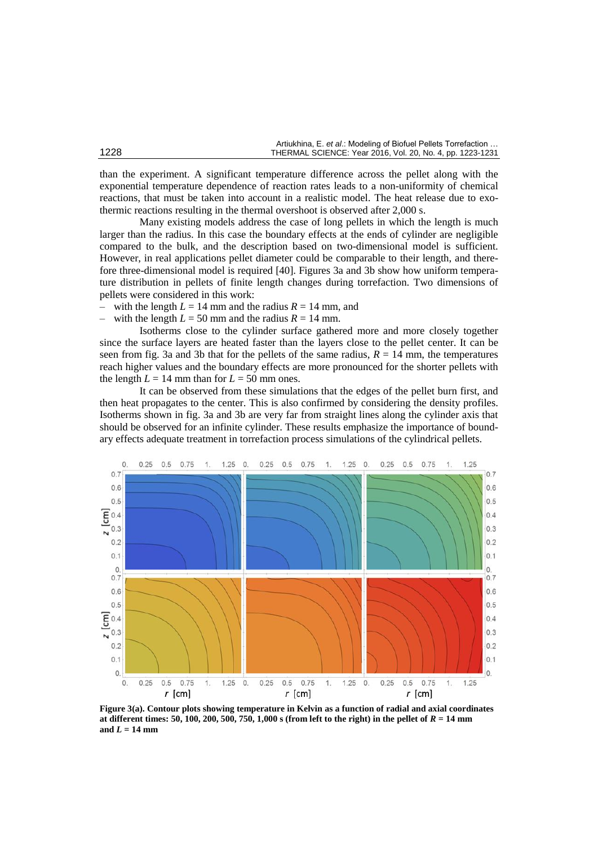|      | Artiukhina, E. et al.: Modeling of Biofuel Pellets Torrefaction |
|------|-----------------------------------------------------------------|
| 1228 | THERMAL SCIENCE: Year 2016, Vol. 20, No. 4, pp. 1223-1231       |

than the experiment. A significant temperature difference across the pellet along with the exponential temperature dependence of reaction rates leads to a non-uniformity of chemical reactions, that must be taken into account in a realistic model. The heat release due to exothermic reactions resulting in the thermal overshoot is observed after 2,000 s.

Many existing models address the case of long pellets in which the length is much larger than the radius. In this case the boundary effects at the ends of cylinder are negligible compared to the bulk, and the description based on two-dimensional model is sufficient. However, in real applications pellet diameter could be comparable to their length, and therefore three-dimensional model is required [40]. Figures 3a and 3b show how uniform temperature distribution in pellets of finite length changes during torrefaction. Two dimensions of pellets were considered in this work:

with the length  $L = 14$  mm and the radius  $R = 14$  mm, and

with the length  $L = 50$  mm and the radius  $R = 14$  mm.

Isotherms close to the cylinder surface gathered more and more closely together since the surface layers are heated faster than the layers close to the pellet center. It can be seen from fig. 3a and 3b that for the pellets of the same radius,  $R = 14$  mm, the temperatures reach higher values and the boundary effects are more pronounced for the shorter pellets with the length  $L = 14$  mm than for  $L = 50$  mm ones.

It can be observed from these simulations that the edges of the pellet burn first, and then heat propagates to the center. This is also confirmed by considering the density profiles. Isotherms shown in fig. 3a and 3b are very far from straight lines along the cylinder axis that should be observed for an infinite cylinder. These results emphasize the importance of boundary effects adequate treatment in torrefaction process simulations of the cylindrical pellets.



**Figure 3(a). Contour plots showing temperature in Kelvin as a function of radial and axial coordinates at different times: 50, 100, 200, 500, 750, 1,000 s (from left to the right) in the pellet of** *R* **= 14 mm**  and  $L = 14$  mm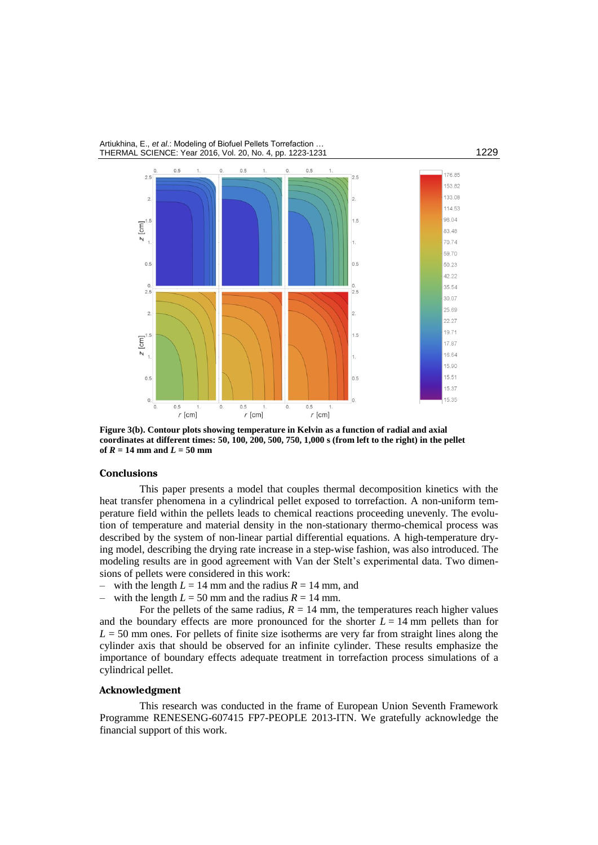#### Artiukhina, E., *et al*.: Modeling of Biofuel Pellets Torrefaction … THERMAL SCIENCE: Year 2016, Vol. 20, No. 4, pp. 1223-1231



**Figure 3(b). Contour plots showing temperature in Kelvin as a function of radial and axial coordinates at different times: 50, 100, 200, 500, 750, 1,000 s (from left to the right) in the pellet of**  $R = 14$  mm and  $L = 50$  mm

### **Conclusions**

This paper presents a model that couples thermal decomposition kinetics with the heat transfer phenomena in a cylindrical pellet exposed to torrefaction. A non-uniform temperature field within the pellets leads to chemical reactions proceeding unevenly. The evolution of temperature and material density in the non-stationary thermo-chemical process was described by the system of non-linear partial differential equations. A high-temperature drying model, describing the drying rate increase in a step-wise fashion, was also introduced. The modeling results are in good agreement with Van der Stelt's experimental data. Two dimensions of pellets were considered in this work:

- with the length  $L = 14$  mm and the radius  $R = 14$  mm, and
- with the length  $L = 50$  mm and the radius  $R = 14$  mm.

For the pellets of the same radius,  $R = 14$  mm, the temperatures reach higher values and the boundary effects are more pronounced for the shorter  $L = 14$  mm pellets than for  $L = 50$  mm ones. For pellets of finite size isotherms are very far from straight lines along the cylinder axis that should be observed for an infinite cylinder. These results emphasize the importance of boundary effects adequate treatment in torrefaction process simulations of a cylindrical pellet.

## **Acknowledgment**

This research was conducted in the frame of European Union Seventh Framework Programme RENESENG-607415 FP7-PEOPLE 2013-ITN. We gratefully acknowledge the financial support of this work.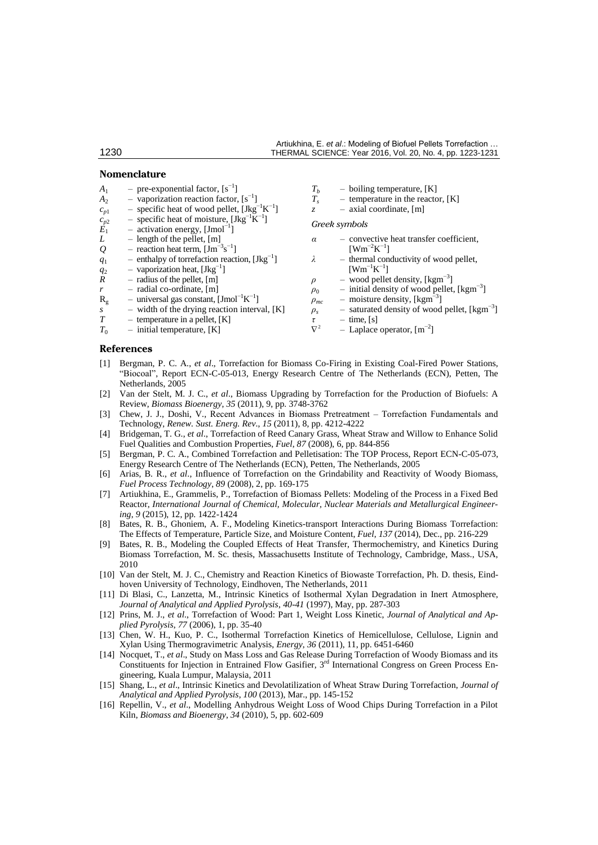#### **Nomenclature**

- $A_1$  pre-exponential factor,  $[s^{-1}]$
- $A_2$  vaporization reaction factor,  $[s^{-1}]$
- $c_{p1}$  specific heat of wood pellet, [Jkg<sup>-1</sup>K<sup>-1</sup>]
- $c_{p2}^{\prime}$  specific heat of moisture, [Jkg<sup>-1</sup>K<sup>-1</sup>]
- $\vec{E}_1$  activation energy, [Jmol<sup>-1</sup>]
- *L* length of the pellet,  $[m]$ <br>*Q* reaction heat term,  $[Jm^{-3}]$
- $Q$  reaction heat term,  $[\text{Jm}^{-3} \text{s}^{-1}]$
- $\overline{q}_1$  enthalpy of torrefaction reaction, [Jkg<sup>-1</sup>]
- $q_2$  vaporization heat, [Jkg<sup>-1</sup>]
- $\overline{R}$  radius of the pellet, [m]
- $r$  radial co-ordinate, [m]
- $R_g$  universal gas constant, [Jmol<sup>-1</sup>K<sup>-1</sup>]
- *s* width of the drying reaction interval, [K]
- *T* temperature in a pellet, [K]
- $T_0$  initial temperature, [K]
- 
- $T_b$  boiling temperature, [K]<br> $T_s$  temperature in the reactor  $-$  temperature in the reactor,  $[K]$
- *z* axial coordinate, [m]

#### *Greek symbols*

- *α* convective heat transfer coefficient,  $[{\rm Wm}^{-2}{\rm K}^{-1}]$
- *λ* thermal conductivity of wood pellet,  $[{\rm Wm}^{-1}{\rm K}^{-1}]$
- $\rho$  wood pellet density, [kgm<sup>-3</sup>]
- $\rho_0$  initial density of wood pellet, [kgm<sup>-3</sup>]
- $\rho_{mc}$  moisture density, [kgm<sup>23</sup>]
- $\rho_s$  saturated density of wood pellet, [kgm<sup>-3</sup>]
- $\frac{\tau}{\nabla^2}$  time, [s]
- $\nabla^2$  Laplace operator,  $[m^{-2}]$

### **References**

- [1] Bergman, P. C. A., *et al*., Torrefaction for Biomass Co-Firing in Existing Coal-Fired Power Stations, "Biocoal", Report ECN-C-05-013, Energy Research Centre of The Netherlands (ECN), Petten, The Netherlands, 2005
- [2] Van der Stelt, M. J. C., *et al*., Biomass Upgrading by Torrefaction for the Production of Biofuels: A Review, *Biomass Bioenergy*, *35* (2011), 9, pp. 3748-3762
- [3] Chew, J. J., Doshi, V., Recent Advances in Biomass Pretreatment Torrefaction Fundamentals and Technology, *Renew. Sust. Energ. Rev*., *15* (2011), 8, pp. 4212-4222
- [4] Bridgeman, T. G., *et al*., Torrefaction of Reed Canary Grass, Wheat Straw and Willow to Enhance Solid Fuel Qualities and Combustion Properties, *Fuel*, *87* (2008), 6, pp. 844-856
- [5] Bergman, P. C. A., Combined Torrefaction and Pelletisation: The TOP Process, Report ECN-C-05-073, Energy Research Centre of The Netherlands (ECN), Petten, The Netherlands, 2005
- [6] Arias, B. R., *et al*., Influence of Torrefaction on the Grindability and Reactivity of Woody Biomass, *Fuel Process Technology*, *89* (2008), 2, pp. 169-175
- [7] Artiukhina, E., Grammelis, P., Torrefaction of Biomass Pellets: Modeling of the Process in a Fixed Bed Reactor, *International Journal of Chemical, Molecular, Nuclear Materials and Metallurgical Engineering*, *9* (2015), 12, pp. 1422-1424
- [8] Bates, R. B., Ghoniem, A. F., Modeling Kinetics-transport Interactions During Biomass Torrefaction: The Effects of Temperature, Particle Size, and Moisture Content, *Fuel*, *137* (2014), Dec., pp. 216-229
- [9] Bates, R. B., Modeling the Coupled Effects of Heat Transfer, Thermochemistry, and Kinetics During Biomass Torrefaction, M. Sc. thesis, Massachusetts Institute of Technology, Cambridge, Mass., USA, 2010
- [10] Van der Stelt, M. J. C., Chemistry and Reaction Kinetics of Biowaste Torrefaction, Ph. D. thesis, Eindhoven University of Technology, Eindhoven, The Netherlands, 2011
- [11] Di Blasi, C., Lanzetta, M., Intrinsic Kinetics of Isothermal Xylan Degradation in Inert Atmosphere, *Journal of Analytical and Applied Pyrolysis*, *40-41* (1997), May, pp. 287-303
- [12] Prins, M. J., *et al*., Torrefaction of Wood: Part 1, Weight Loss Kinetic, *Journal of Analytical and Applied Pyrolysis*, *77* (2006), 1, pp. 35-40
- [13] Chen, W. H., Kuo, P. C., Isothermal Torrefaction Kinetics of Hemicellulose, Cellulose, Lignin and Xylan Using Thermogravimetric Analysis, *Energy*, *36* (2011), 11, pp. 6451-6460
- [14] Nocquet, T., *et al*., Study on Mass Loss and Gas Release During Torrefaction of Woody Biomass and its Constituents for Injection in Entrained Flow Gasifier, 3<sup>rd</sup> International Congress on Green Process Engineering, Kuala Lumpur, Malaysia, 2011
- [15] Shang, L., *et al*., Intrinsic Kinetics and Devolatilization of Wheat Straw During Torrefaction, *Journal of Analytical and Applied Pyrolysis*, *100* (2013), Mar., pp. 145-152
- [16] [Repellin,](http://www.sciencedirect.com/science/article/pii/S0961953410000036) V., *et al*., Modelling Anhydrous Weight Loss of Wood Chips During Torrefaction in a Pilot Kiln, *Biomass and Bioenergy*, *34* (2010), 5, pp. 602-609